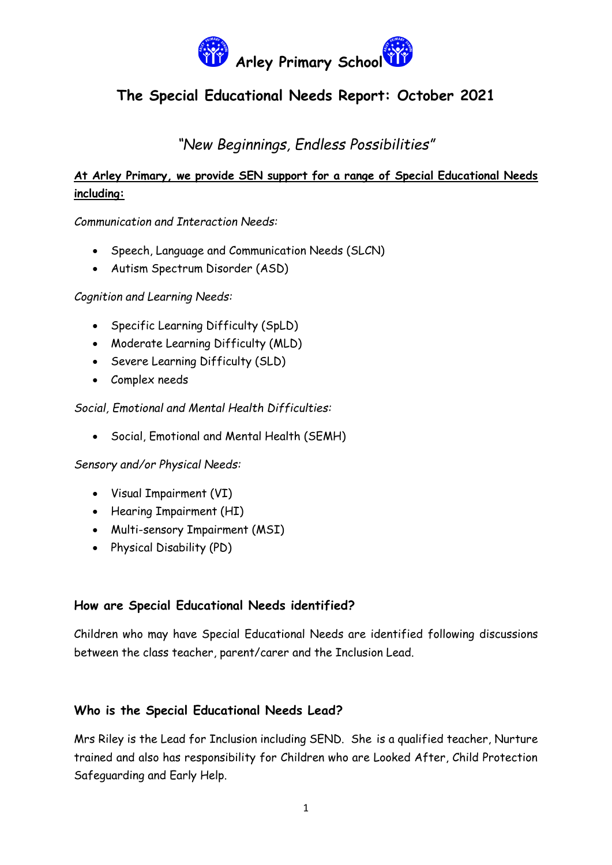

*"New Beginnings, Endless Possibilities"*

## **At Arley Primary, we provide SEN support for a range of Special Educational Needs including:**

*Communication and Interaction Needs:*

- Speech, Language and Communication Needs (SLCN)
- Autism Spectrum Disorder (ASD)

*Cognition and Learning Needs:*

- Specific Learning Difficulty (SpLD)
- Moderate Learning Difficulty (MLD)
- Severe Learning Difficulty (SLD)
- Complex needs

*Social, Emotional and Mental Health Difficulties:*

Social, Emotional and Mental Health (SEMH)

*Sensory and/or Physical Needs:*

- Visual Impairment (VI)
- Hearing Impairment (HI)
- Multi-sensory Impairment (MSI)
- Physical Disability (PD)

### **How are Special Educational Needs identified?**

Children who may have Special Educational Needs are identified following discussions between the class teacher, parent/carer and the Inclusion Lead.

### **Who is the Special Educational Needs Lead?**

Mrs Riley is the Lead for Inclusion including SEND. She is a qualified teacher, Nurture trained and also has responsibility for Children who are Looked After, Child Protection Safeguarding and Early Help.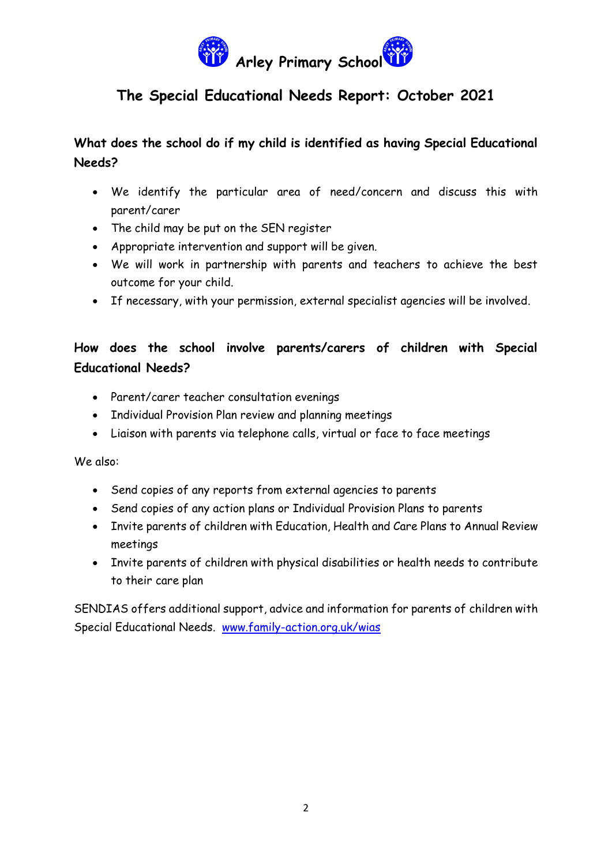

## **What does the school do if my child is identified as having Special Educational Needs?**

- We identify the particular area of need/concern and discuss this with parent/carer
- The child may be put on the SEN register
- Appropriate intervention and support will be given.
- We will work in partnership with parents and teachers to achieve the best outcome for your child.
- If necessary, with your permission, external specialist agencies will be involved.

# **How does the school involve parents/carers of children with Special Educational Needs?**

- Parent/carer teacher consultation evenings
- Individual Provision Plan review and planning meetings
- Liaison with parents via telephone calls, virtual or face to face meetings

We also:

- Send copies of any reports from external agencies to parents
- Send copies of any action plans or Individual Provision Plans to parents
- Invite parents of children with Education, Health and Care Plans to Annual Review meetings
- Invite parents of children with physical disabilities or health needs to contribute to their care plan

SENDIAS offers additional support, advice and information for parents of children with Special Educational Needs. [www.family-action.org.uk/wias](http://www.family-action.org.uk/wias)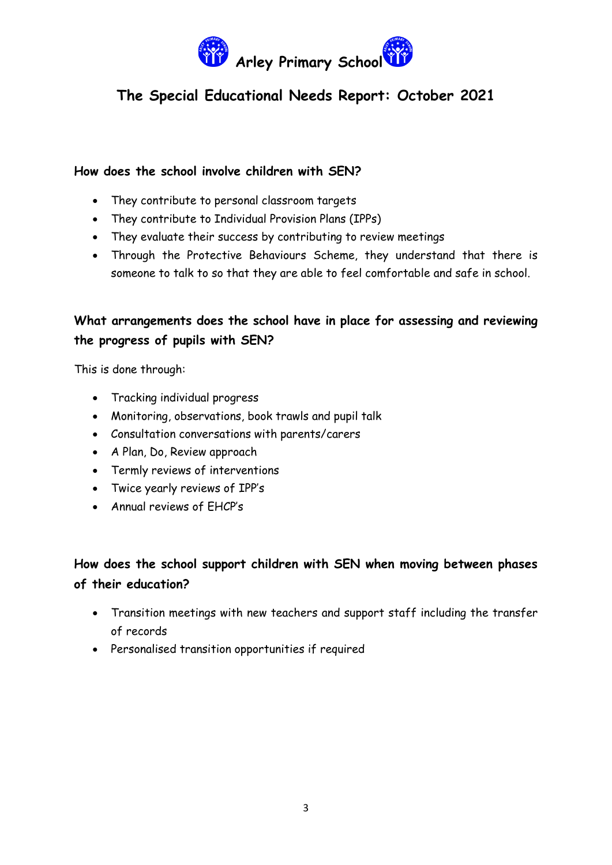

### **How does the school involve children with SEN?**

- They contribute to personal classroom targets
- They contribute to Individual Provision Plans (IPPs)
- They evaluate their success by contributing to review meetings
- Through the Protective Behaviours Scheme, they understand that there is someone to talk to so that they are able to feel comfortable and safe in school.

## **What arrangements does the school have in place for assessing and reviewing the progress of pupils with SEN?**

This is done through:

- Tracking individual progress
- Monitoring, observations, book trawls and pupil talk
- Consultation conversations with parents/carers
- A Plan, Do, Review approach
- Termly reviews of interventions
- Twice yearly reviews of IPP's
- Annual reviews of EHCP's

## **How does the school support children with SEN when moving between phases of their education?**

- Transition meetings with new teachers and support staff including the transfer of records
- Personalised transition opportunities if required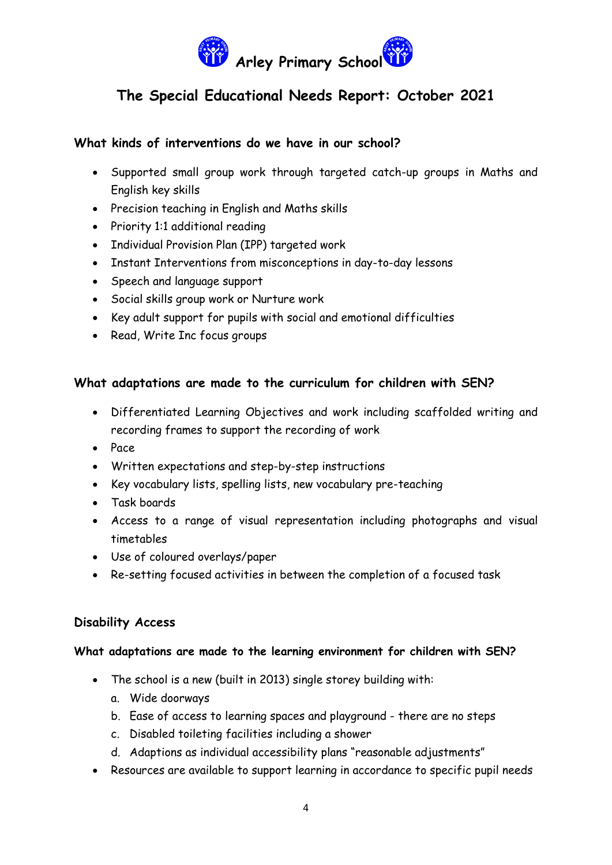

### **What kinds of interventions do we have in our school?**

- Supported small group work through targeted catch-up groups in Maths and English key skills
- Precision teaching in English and Maths skills
- Priority 1:1 additional reading
- Individual Provision Plan (IPP) targeted work
- Instant Interventions from misconceptions in day-to-day lessons
- Speech and language support
- Social skills group work or Nurture work
- Key adult support for pupils with social and emotional difficulties
- Read, Write Inc focus groups

### **What adaptations are made to the curriculum for children with SEN?**

- Differentiated Learning Objectives and work including scaffolded writing and recording frames to support the recording of work
- $•$  Pace
- Written expectations and step-by-step instructions
- Key vocabulary lists, spelling lists, new vocabulary pre-teaching
- Task boards
- Access to a range of visual representation including photographs and visual timetables
- Use of coloured overlays/paper
- Re-setting focused activities in between the completion of a focused task

### **Disability Access**

#### **What adaptations are made to the learning environment for children with SEN?**

- The school is a new (built in 2013) single storey building with:
	- a. Wide doorways
	- b. Ease of access to learning spaces and playground there are no steps
	- c. Disabled toileting facilities including a shower
	- d. Adaptions as individual accessibility plans "reasonable adjustments"
- Resources are available to support learning in accordance to specific pupil needs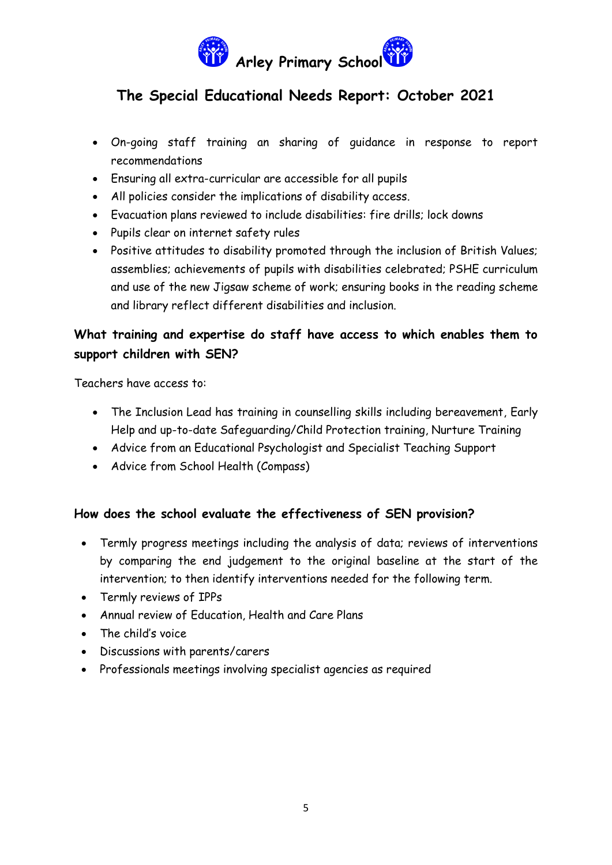

- On-going staff training an sharing of guidance in response to report recommendations
- Ensuring all extra-curricular are accessible for all pupils
- All policies consider the implications of disability access.
- Evacuation plans reviewed to include disabilities: fire drills; lock downs
- Pupils clear on internet safety rules
- Positive attitudes to disability promoted through the inclusion of British Values; assemblies; achievements of pupils with disabilities celebrated; PSHE curriculum and use of the new Jigsaw scheme of work; ensuring books in the reading scheme and library reflect different disabilities and inclusion.

## **What training and expertise do staff have access to which enables them to support children with SEN?**

Teachers have access to:

- The Inclusion Lead has training in counselling skills including bereavement, Early Help and up-to-date Safeguarding/Child Protection training, Nurture Training
- Advice from an Educational Psychologist and Specialist Teaching Support
- Advice from School Health (Compass)

## **How does the school evaluate the effectiveness of SEN provision?**

- Termly progress meetings including the analysis of data; reviews of interventions by comparing the end judgement to the original baseline at the start of the intervention; to then identify interventions needed for the following term.
- Termly reviews of IPPs
- Annual review of Education, Health and Care Plans
- The child's voice
- Discussions with parents/carers
- Professionals meetings involving specialist agencies as required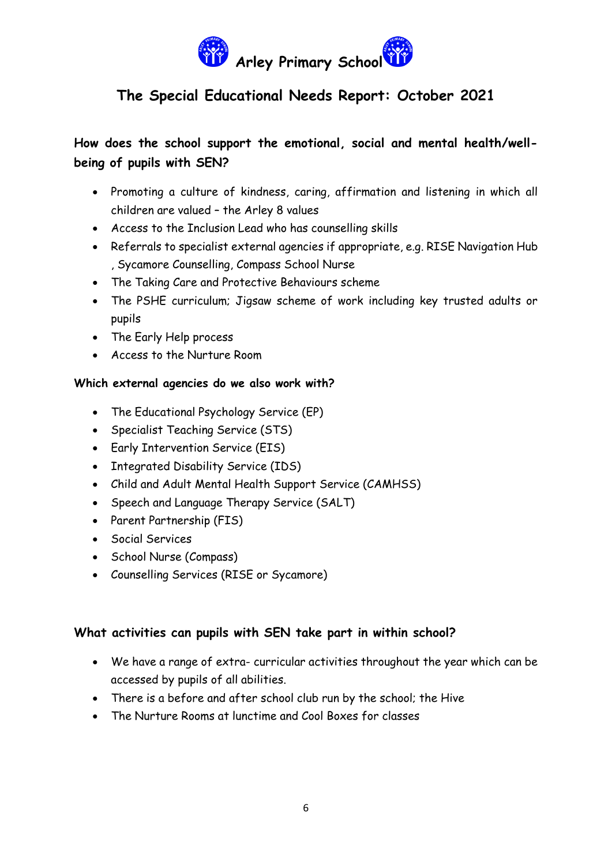

# **How does the school support the emotional, social and mental health/wellbeing of pupils with SEN?**

- Promoting a culture of kindness, caring, affirmation and listening in which all children are valued – the Arley 8 values
- Access to the Inclusion Lead who has counselling skills
- Referrals to specialist external agencies if appropriate, e.g. RISE Navigation Hub , Sycamore Counselling, Compass School Nurse
- The Taking Care and Protective Behaviours scheme
- The PSHE curriculum; Jigsaw scheme of work including key trusted adults or pupils
- The Early Help process
- Access to the Nurture Room

#### **Which external agencies do we also work with?**

- The Educational Psychology Service (EP)
- Specialist Teaching Service (STS)
- Early Intervention Service (EIS)
- Integrated Disability Service (IDS)
- Child and Adult Mental Health Support Service (CAMHSS)
- Speech and Language Therapy Service (SALT)
- Parent Partnership (FIS)
- **Social Services**
- School Nurse (Compass)
- Counselling Services (RISE or Sycamore)

### **What activities can pupils with SEN take part in within school?**

- We have a range of extra- curricular activities throughout the year which can be accessed by pupils of all abilities.
- There is a before and after school club run by the school; the Hive
- The Nurture Rooms at lunctime and Cool Boxes for classes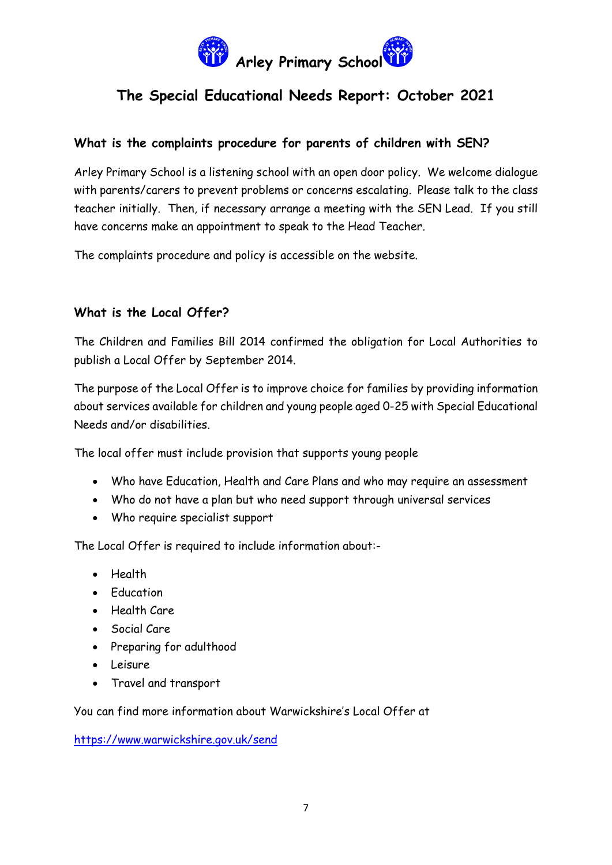

## **What is the complaints procedure for parents of children with SEN?**

Arley Primary School is a listening school with an open door policy. We welcome dialogue with parents/carers to prevent problems or concerns escalating. Please talk to the class teacher initially. Then, if necessary arrange a meeting with the SEN Lead. If you still have concerns make an appointment to speak to the Head Teacher.

The complaints procedure and policy is accessible on the website.

## **What is the Local Offer?**

The Children and Families Bill 2014 confirmed the obligation for Local Authorities to publish a Local Offer by September 2014.

The purpose of the Local Offer is to improve choice for families by providing information about services available for children and young people aged 0-25 with Special Educational Needs and/or disabilities.

The local offer must include provision that supports young people

- Who have Education, Health and Care Plans and who may require an assessment
- Who do not have a plan but who need support through universal services
- Who require specialist support

The Local Offer is required to include information about:-

- Health
- **•** Education
- Health Care
- Social Care
- Preparing for adulthood
- Leisure
- Travel and transport

You can find more information about Warwickshire's Local Offer at

<https://www.warwickshire.gov.uk/send>